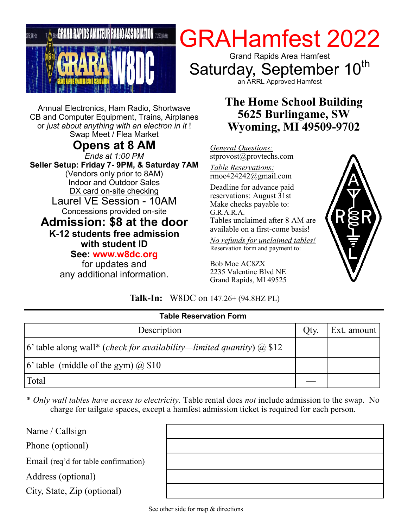

Annual Electronics, Ham Radio, Shortwave CB and Computer Equipment, Trains, Airplanes or *just about anything with an electron in it* ! Swap Meet / Flea Market

**Opens at 8 AM** *Ends at 1:00 PM* **Seller Setup: Friday 7- 9PM, & Saturday 7AM**  (Vendors only prior to 8AM) Indoor and Outdoor Sales DX card on-site checking Laurel VE Session - 10AM Concessions provided on-site **Admission: \$8 at the door K-12 students free admission with student ID See: www.w8dc.org**

for updates and any additional information.

# GRAHamfest 2022

Grand Rapids Area Hamfest Saturday, September 10<sup>th</sup> an ARRL Approved Hamfest

# **The Home School Building 5625 Burlingame, SW Wyoming, MI 49509-9702**

*General Questions:* stprovost@provtechs.com

*Table Reservations:* rmoe424242@gmail.com

Deadline for advance paid reservations: August 31st Make checks payable to: G.R.A.R.A. Tables unclaimed after 8 AM are available on a first-come basis!

*No refunds for unclaimed tables!* Reservation form and payment to:

Bob Moe AC8ZX 2235 Valentine Blvd NE Grand Rapids, MI 49525



## **Talk-In:** W8DC on 147.26+ (94.8HZ PL)

| <b>Table Reservation Form</b>                                                                 |      |             |  |  |
|-----------------------------------------------------------------------------------------------|------|-------------|--|--|
| Description                                                                                   | Qty. | Ext. amount |  |  |
| $\vert 6'$ table along wall* ( <i>check for availability—limited quantity</i> ) $\omega$ \$12 |      |             |  |  |
| $\vert 6'$ table (middle of the gym) $\bar{a}$ \$10                                           |      |             |  |  |
| Total                                                                                         |      |             |  |  |

\* *Only wall tables have access to electricity.* Table rental does *not* include admission to the swap. No charge for tailgate spaces, except a hamfest admission ticket is required for each person.

Name / Callsign

Phone (optional)

Email (req'd for table confirmation)

Address (optional)

City, State, Zip (optional)

| - -                      |  |  |
|--------------------------|--|--|
|                          |  |  |
|                          |  |  |
|                          |  |  |
| $\overline{\phantom{a}}$ |  |  |
|                          |  |  |
| L.                       |  |  |
|                          |  |  |
|                          |  |  |
|                          |  |  |
|                          |  |  |